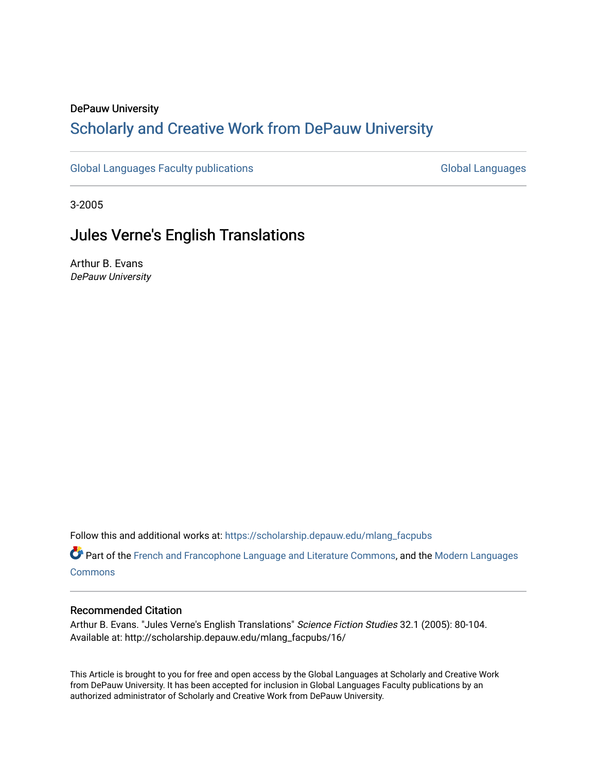## DePauw University

# Scholarly and [Creative Work from DePauw Univ](https://scholarship.depauw.edu/)ersity

[Global Languages Faculty publications](https://scholarship.depauw.edu/mlang_facpubs) [Global Languages](https://scholarship.depauw.edu/modernlanguages) Global Languages

3-2005

## Jules Verne's English Translations

Arthur B. Evans DePauw University

Follow this and additional works at: [https://scholarship.depauw.edu/mlang\\_facpubs](https://scholarship.depauw.edu/mlang_facpubs?utm_source=scholarship.depauw.edu%2Fmlang_facpubs%2F16&utm_medium=PDF&utm_campaign=PDFCoverPages)

Part of the [French and Francophone Language and Literature Commons,](https://network.bepress.com/hgg/discipline/463?utm_source=scholarship.depauw.edu%2Fmlang_facpubs%2F16&utm_medium=PDF&utm_campaign=PDFCoverPages) and the [Modern Languages](https://network.bepress.com/hgg/discipline/1130?utm_source=scholarship.depauw.edu%2Fmlang_facpubs%2F16&utm_medium=PDF&utm_campaign=PDFCoverPages)  **[Commons](https://network.bepress.com/hgg/discipline/1130?utm_source=scholarship.depauw.edu%2Fmlang_facpubs%2F16&utm_medium=PDF&utm_campaign=PDFCoverPages)** 

### Recommended Citation

Arthur B. Evans. "Jules Verne's English Translations" Science Fiction Studies 32.1 (2005): 80-104. Available at: http://scholarship.depauw.edu/mlang\_facpubs/16/

This Article is brought to you for free and open access by the Global Languages at Scholarly and Creative Work from DePauw University. It has been accepted for inclusion in Global Languages Faculty publications by an authorized administrator of Scholarly and Creative Work from DePauw University.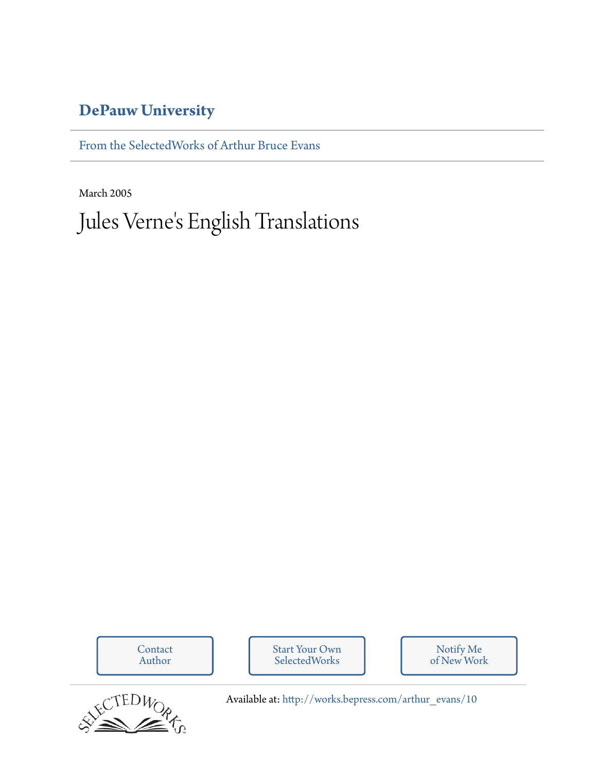## **[DePauw University](http://depauw.edu)**

[From the SelectedWorks of Arthur Bruce Evans](http://works.bepress.com/arthur_evans)

March 2005 Jules Verne 's English Translations

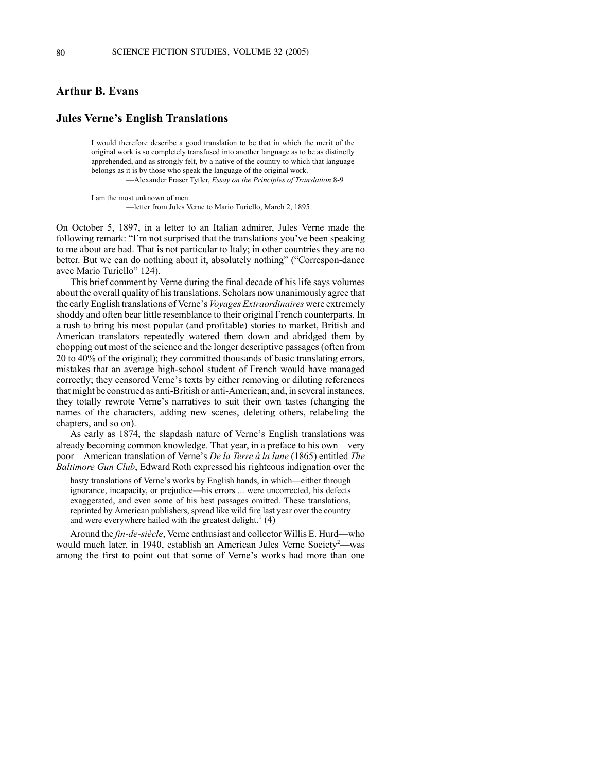### Arthur B. Evans

#### Jules Verne's English Translations

I would therefore describe a good translation to be that in which the merit of the original work is so completely transfused into another language as to be as distinctly apprehended, and as strongly felt, by a native of the country to which that language belongs as it is by those who speak the language of the original work. —Alexander Fraser Tytler, *Essay on the Principles of Translation* 8-9

I am the most unknown of men. —letter from Jules Verne to Mario Turiello, March 2, 1895

On October 5, 1897, in a letter to an Italian admirer, Jules Verne made the following remark: "I'm not surprised that the translations you've been speaking to me about are bad. That is not particular to Italy; in other countries they are no better. But we can do nothing about it, absolutely nothing" ("Correspon-dance avec Mario Turiello" 124).

This brief comment by Verne during the final decade of his life says volumes about the overall quality of his translations. Scholars now unanimously agree that the early English translations of Verne's Voyages Extraordinaires were extremely shoddy and often bear little resemblance to their original French counterparts. In a rush to bring his most popular (and profitable) stories to market, British and American translators repeatedly watered them down and abridged them by chopping out most of the science and the longer descriptive passages (often from 20 to 40% of the original); they committed thousands of basic translating errors, mistakes that an average high-school student of French would have managed correctly; they censored Verne's texts by either removing or diluting references that might be construed as anti-British or anti-American; and, in several instances, they totally rewrote Verne's narratives to suit their own tastes (changing the names of the characters, adding new scenes, deleting others, relabeling the chapters, and so on).

As early as 1874, the slapdash nature of Verne's English translations was already becoming common knowledge. That year, in a preface to his own—very poor—American translation of Verne's De la Terre à la lune (1865) entitled The Baltimore Gun Club, Edward Roth expressed his righteous indignation over the

hasty translations of Verne's works by English hands, in which—either through ignorance, incapacity, or prejudice—his errors ... were uncorrected, his defects exaggerated, and even some of his best passages omitted. These translations, reprinted by American publishers, spread like wild fire last year over the country and were everywhere hailed with the greatest delight.<sup>1</sup> (4)

Around the *fin-de-siècle*, Verne enthusiast and collector Willis E. Hurd—who would much later, in 1940, establish an American Jules Verne Society<sup>2</sup>—was among the first to point out that some of Verne's works had more than one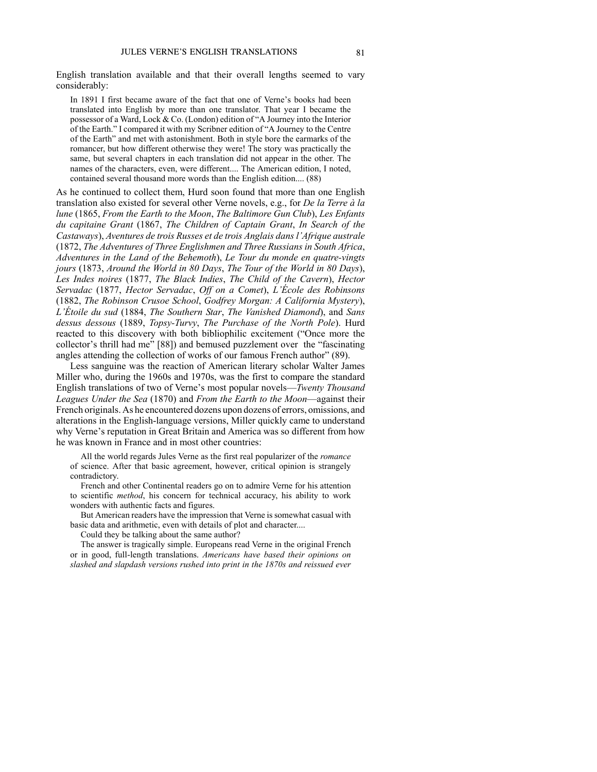English translation available and that their overall lengths seemed to vary considerably:

In 1891 I first became aware of the fact that one of Verne's books had been translated into English by more than one translator. That year I became the possessor of a Ward, Lock & Co. (London) edition of "A Journey into the Interior of the Earth." I compared it with my Scribner edition of "A Journey to the Centre of the Earth" and met with astonishment. Both in style bore the earmarks of the romancer, but how different otherwise they were! The story was practically the same, but several chapters in each translation did not appear in the other. The names of the characters, even, were different.... The American edition, I noted, contained several thousand more words than the English edition.... (88)

As he continued to collect them, Hurd soon found that more than one English translation also existed for several other Verne novels, e.g., for De la Terre à la lune (1865, From the Earth to the Moon, The Baltimore Gun Club), Les Enfants du capitaine Grant (1867, The Children of Captain Grant, In Search of the Castaways), Aventures de trois Russes et de trois Anglais dans l'Afrique australe (1872, The Adventures of Three Englishmen and Three Russians in South Africa, Adventures in the Land of the Behemoth), Le Tour du monde en quatre-vingts jours (1873, Around the World in 80 Days, The Tour of the World in 80 Days), Les Indes noires (1877, The Black Indies, The Child of the Cavern), Hector Servadac (1877, Hector Servadac, Off on a Comet), L'École des Robinsons (1882, The Robinson Crusoe School, Godfrey Morgan: A California Mystery), L'Étoile du sud (1884, The Southern Star, The Vanished Diamond), and Sans dessus dessous (1889, Topsy-Turvy, The Purchase of the North Pole). Hurd reacted to this discovery with both bibliophilic excitement ("Once more the collector's thrill had me" [88]) and bemused puzzlement over the "fascinating angles attending the collection of works of our famous French author" (89).

Less sanguine was the reaction of American literary scholar Walter James Miller who, during the 1960s and 1970s, was the first to compare the standard English translations of two of Verne's most popular novels—Twenty Thousand Leagues Under the Sea (1870) and From the Earth to the Moon—against their French originals. As he encountered dozens upon dozens of errors, omissions, and alterations in the English-language versions, Miller quickly came to understand why Verne's reputation in Great Britain and America was so different from how he was known in France and in most other countries:

All the world regards Jules Verne as the first real popularizer of the romance of science. After that basic agreement, however, critical opinion is strangely contradictory.

French and other Continental readers go on to admire Verne for his attention to scientific method, his concern for technical accuracy, his ability to work wonders with authentic facts and figures.

But American readers have the impression that Verne is somewhat casual with basic data and arithmetic, even with details of plot and character....

Could they be talking about the same author?

The answer is tragically simple. Europeans read Verne in the original French or in good, full-length translations. Americans have based their opinions on slashed and slapdash versions rushed into print in the 1870s and reissued ever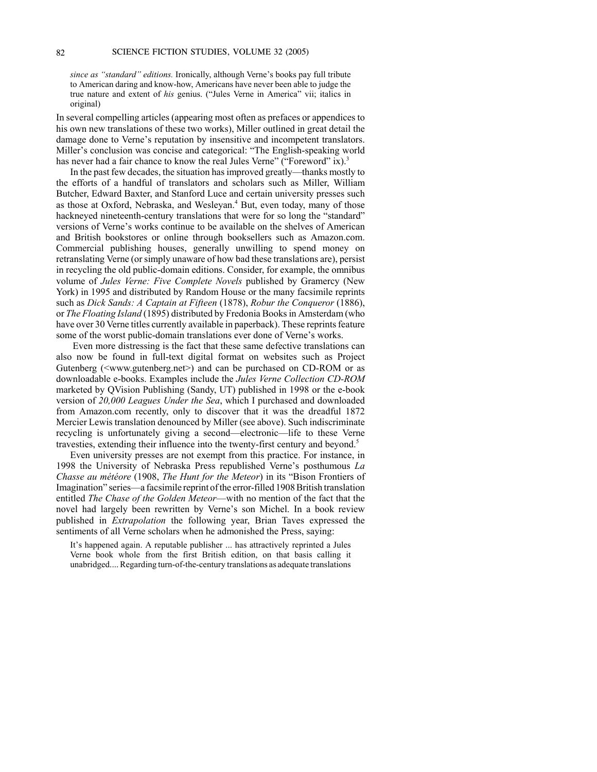since as "standard" editions. Ironically, although Verne's books pay full tribute to American daring and know-how, Americans have never been able to judge the true nature and extent of his genius. ("Jules Verne in America" vii; italics in original)

In several compelling articles (appearing most often as prefaces or appendices to his own new translations of these two works), Miller outlined in great detail the damage done to Verne's reputation by insensitive and incompetent translators. Miller's conclusion was concise and categorical: "The English-speaking world has never had a fair chance to know the real Jules Verne" ("Foreword" ix).<sup>3</sup>

In the past few decades, the situation has improved greatly—thanks mostly to the efforts of a handful of translators and scholars such as Miller, William Butcher, Edward Baxter, and Stanford Luce and certain university presses such as those at Oxford, Nebraska, and Wesleyan.<sup>4</sup> But, even today, many of those hackneyed nineteenth-century translations that were for so long the "standard" versions of Verne's works continue to be available on the shelves of American and British bookstores or online through booksellers such as Amazon.com. Commercial publishing houses, generally unwilling to spend money on retranslating Verne (or simply unaware of how bad these translations are), persist in recycling the old public-domain editions. Consider, for example, the omnibus volume of Jules Verne: Five Complete Novels published by Gramercy (New York) in 1995 and distributed by Random House or the many facsimile reprints such as Dick Sands: A Captain at Fifteen (1878), Robur the Conqueror (1886), or The Floating Island (1895) distributed by Fredonia Books in Amsterdam (who have over 30 Verne titles currently available in paperback). These reprints feature some of the worst public-domain translations ever done of Verne's works.

 Even more distressing is the fact that these same defective translations can also now be found in full-text digital format on websites such as Project Gutenberg ( $\leq$ www.gutenberg.net $\geq$ ) and can be purchased on CD-ROM or as downloadable e-books. Examples include the Jules Verne Collection CD-ROM marketed by QVision Publishing (Sandy, UT) published in 1998 or the e-book version of 20,000 Leagues Under the Sea, which I purchased and downloaded from Amazon.com recently, only to discover that it was the dreadful 1872 Mercier Lewis translation denounced by Miller (see above). Such indiscriminate recycling is unfortunately giving a second—electronic—life to these Verne travesties, extending their influence into the twenty-first century and beyond.<sup>5</sup>

Even university presses are not exempt from this practice. For instance, in 1998 the University of Nebraska Press republished Verne's posthumous La Chasse au météore (1908, The Hunt for the Meteor) in its "Bison Frontiers of Imagination" series—a facsimile reprint of the error-filled 1908 British translation entitled The Chase of the Golden Meteor—with no mention of the fact that the novel had largely been rewritten by Verne's son Michel. In a book review published in Extrapolation the following year, Brian Taves expressed the sentiments of all Verne scholars when he admonished the Press, saying:

It's happened again. A reputable publisher ... has attractively reprinted a Jules Verne book whole from the first British edition, on that basis calling it unabridged.... Regarding turn-of-the-century translations as adequate translations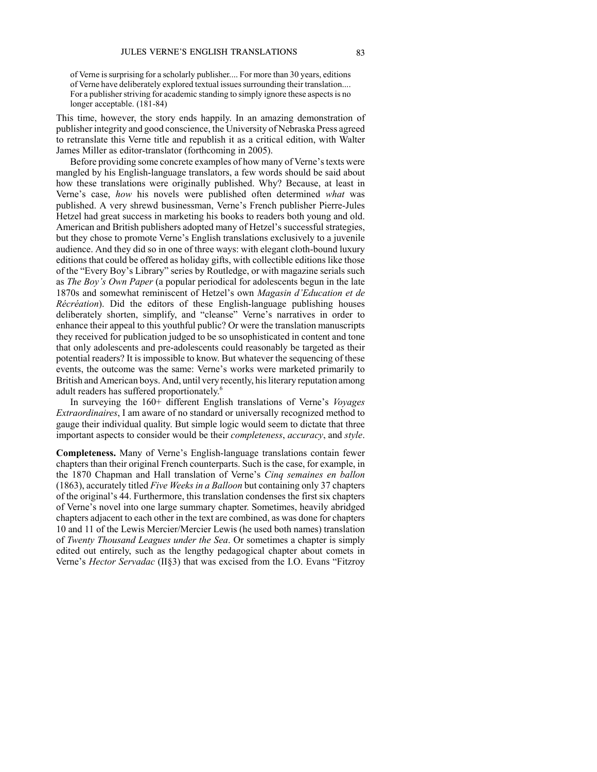of Verne is surprising for a scholarly publisher.... For more than 30 years, editions of Verne have deliberately explored textual issues surrounding their translation.... For a publisher striving for academic standing to simply ignore these aspects is no longer acceptable. (181-84)

This time, however, the story ends happily. In an amazing demonstration of publisher integrity and good conscience, the University of Nebraska Press agreed to retranslate this Verne title and republish it as a critical edition, with Walter James Miller as editor-translator (forthcoming in 2005).

Before providing some concrete examples of how many of Verne's texts were mangled by his English-language translators, a few words should be said about how these translations were originally published. Why? Because, at least in Verne's case, how his novels were published often determined what was published. A very shrewd businessman, Verne's French publisher Pierre-Jules Hetzel had great success in marketing his books to readers both young and old. American and British publishers adopted many of Hetzel's successful strategies, but they chose to promote Verne's English translations exclusively to a juvenile audience. And they did so in one of three ways: with elegant cloth-bound luxury editions that could be offered as holiday gifts, with collectible editions like those of the "Every Boy's Library" series by Routledge, or with magazine serials such as The Boy's Own Paper (a popular periodical for adolescents begun in the late 1870s and somewhat reminiscent of Hetzel's own Magasin d'Education et de Récréation). Did the editors of these English-language publishing houses deliberately shorten, simplify, and "cleanse" Verne's narratives in order to enhance their appeal to this youthful public? Or were the translation manuscripts they received for publication judged to be so unsophisticated in content and tone that only adolescents and pre-adolescents could reasonably be targeted as their potential readers? It is impossible to know. But whatever the sequencing of these events, the outcome was the same: Verne's works were marketed primarily to British and American boys. And, until very recently, his literary reputation among adult readers has suffered proportionately.<sup>6</sup>

In surveying the 160+ different English translations of Verne's Voyages Extraordinaires, I am aware of no standard or universally recognized method to gauge their individual quality. But simple logic would seem to dictate that three important aspects to consider would be their completeness, accuracy, and style.

Completeness. Many of Verne's English-language translations contain fewer chapters than their original French counterparts. Such is the case, for example, in the 1870 Chapman and Hall translation of Verne's Cinq semaines en ballon (1863), accurately titled Five Weeks in a Balloon but containing only 37 chapters of the original's 44. Furthermore, this translation condenses the first six chapters of Verne's novel into one large summary chapter. Sometimes, heavily abridged chapters adjacent to each other in the text are combined, as was done for chapters 10 and 11 of the Lewis Mercier/Mercier Lewis (he used both names) translation of Twenty Thousand Leagues under the Sea. Or sometimes a chapter is simply edited out entirely, such as the lengthy pedagogical chapter about comets in Verne's Hector Servadac (II§3) that was excised from the I.O. Evans "Fitzroy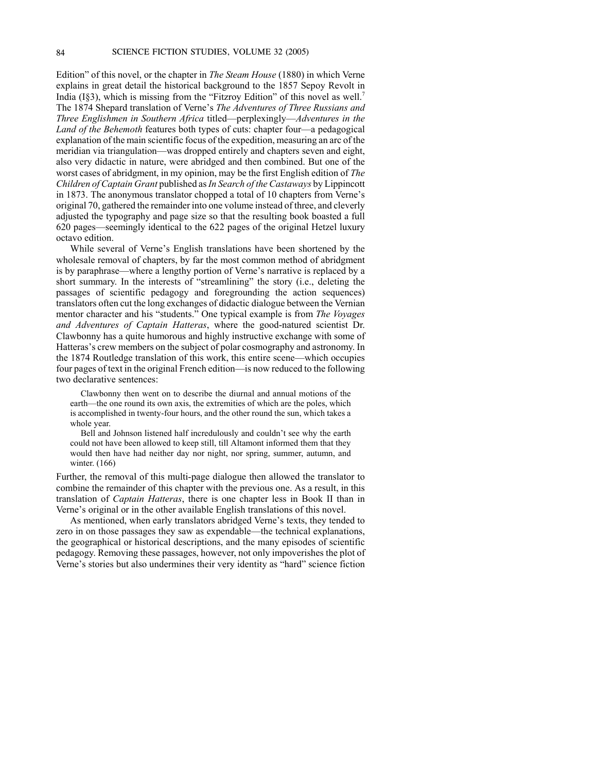Edition" of this novel, or the chapter in The Steam House (1880) in which Verne explains in great detail the historical background to the 1857 Sepoy Revolt in India (I§3), which is missing from the "Fitzroy Edition" of this novel as well.<sup>7</sup> The 1874 Shepard translation of Verne's The Adventures of Three Russians and Three Englishmen in Southern Africa titled—perplexingly—Adventures in the Land of the Behemoth features both types of cuts: chapter four—a pedagogical explanation of the main scientific focus of the expedition, measuring an arc of the meridian via triangulation—was dropped entirely and chapters seven and eight, also very didactic in nature, were abridged and then combined. But one of the worst cases of abridgment, in my opinion, may be the first English edition of The Children of Captain Grant published as In Search of the Castaways by Lippincott in 1873. The anonymous translator chopped a total of 10 chapters from Verne's original 70, gathered the remainder into one volume instead of three, and cleverly adjusted the typography and page size so that the resulting book boasted a full 620 pages—seemingly identical to the 622 pages of the original Hetzel luxury octavo edition.

While several of Verne's English translations have been shortened by the wholesale removal of chapters, by far the most common method of abridgment is by paraphrase—where a lengthy portion of Verne's narrative is replaced by a short summary. In the interests of "streamlining" the story (i.e., deleting the passages of scientific pedagogy and foregrounding the action sequences) translators often cut the long exchanges of didactic dialogue between the Vernian mentor character and his "students." One typical example is from The Voyages and Adventures of Captain Hatteras, where the good-natured scientist Dr. Clawbonny has a quite humorous and highly instructive exchange with some of Hatteras's crew members on the subject of polar cosmography and astronomy. In the 1874 Routledge translation of this work, this entire scene—which occupies four pages of text in the original French edition—is now reduced to the following two declarative sentences:

Clawbonny then went on to describe the diurnal and annual motions of the earth—the one round its own axis, the extremities of which are the poles, which is accomplished in twenty-four hours, and the other round the sun, which takes a whole year.

Bell and Johnson listened half incredulously and couldn't see why the earth could not have been allowed to keep still, till Altamont informed them that they would then have had neither day nor night, nor spring, summer, autumn, and winter. (166)

Further, the removal of this multi-page dialogue then allowed the translator to combine the remainder of this chapter with the previous one. As a result, in this translation of Captain Hatteras, there is one chapter less in Book II than in Verne's original or in the other available English translations of this novel.

As mentioned, when early translators abridged Verne's texts, they tended to zero in on those passages they saw as expendable—the technical explanations, the geographical or historical descriptions, and the many episodes of scientific pedagogy. Removing these passages, however, not only impoverishes the plot of Verne's stories but also undermines their very identity as "hard" science fiction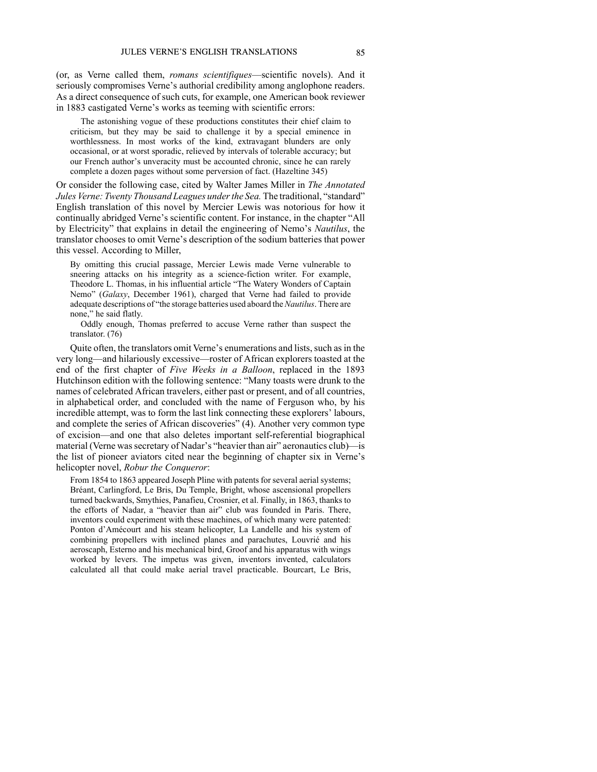(or, as Verne called them, romans scientifiques—scientific novels). And it seriously compromises Verne's authorial credibility among anglophone readers. As a direct consequence of such cuts, for example, one American book reviewer in 1883 castigated Verne's works as teeming with scientific errors:

The astonishing vogue of these productions constitutes their chief claim to criticism, but they may be said to challenge it by a special eminence in worthlessness. In most works of the kind, extravagant blunders are only occasional, or at worst sporadic, relieved by intervals of tolerable accuracy; but our French author's unveracity must be accounted chronic, since he can rarely complete a dozen pages without some perversion of fact. (Hazeltine 345)

Or consider the following case, cited by Walter James Miller in The Annotated Jules Verne: Twenty Thousand Leagues under the Sea. The traditional, "standard" English translation of this novel by Mercier Lewis was notorious for how it continually abridged Verne's scientific content. For instance, in the chapter "All by Electricity" that explains in detail the engineering of Nemo's Nautilus, the translator chooses to omit Verne's description of the sodium batteries that power this vessel. According to Miller,

By omitting this crucial passage, Mercier Lewis made Verne vulnerable to sneering attacks on his integrity as a science-fiction writer. For example, Theodore L. Thomas, in his influential article "The Watery Wonders of Captain Nemo" (Galaxy, December 1961), charged that Verne had failed to provide adequate descriptions of "the storage batteries used aboard the Nautilus. There are none," he said flatly.

Oddly enough, Thomas preferred to accuse Verne rather than suspect the translator. (76)

Quite often, the translators omit Verne's enumerations and lists, such as in the very long—and hilariously excessive—roster of African explorers toasted at the end of the first chapter of Five Weeks in a Balloon, replaced in the 1893 Hutchinson edition with the following sentence: "Many toasts were drunk to the names of celebrated African travelers, either past or present, and of all countries, in alphabetical order, and concluded with the name of Ferguson who, by his incredible attempt, was to form the last link connecting these explorers' labours, and complete the series of African discoveries" (4). Another very common type of excision—and one that also deletes important self-referential biographical material (Verne was secretary of Nadar's "heavier than air" aeronautics club)—is the list of pioneer aviators cited near the beginning of chapter six in Verne's helicopter novel, Robur the Conqueror:

From 1854 to 1863 appeared Joseph Pline with patents for several aerial systems; Bréant, Carlingford, Le Bris, Du Temple, Bright, whose ascensional propellers turned backwards, Smythies, Panafieu, Crosnier, et al. Finally, in 1863, thanks to the efforts of Nadar, a "heavier than air" club was founded in Paris. There, inventors could experiment with these machines, of which many were patented: Ponton d'Amécourt and his steam helicopter, La Landelle and his system of combining propellers with inclined planes and parachutes, Louvrié and his aeroscaph, Esterno and his mechanical bird, Groof and his apparatus with wings worked by levers. The impetus was given, inventors invented, calculators calculated all that could make aerial travel practicable. Bourcart, Le Bris,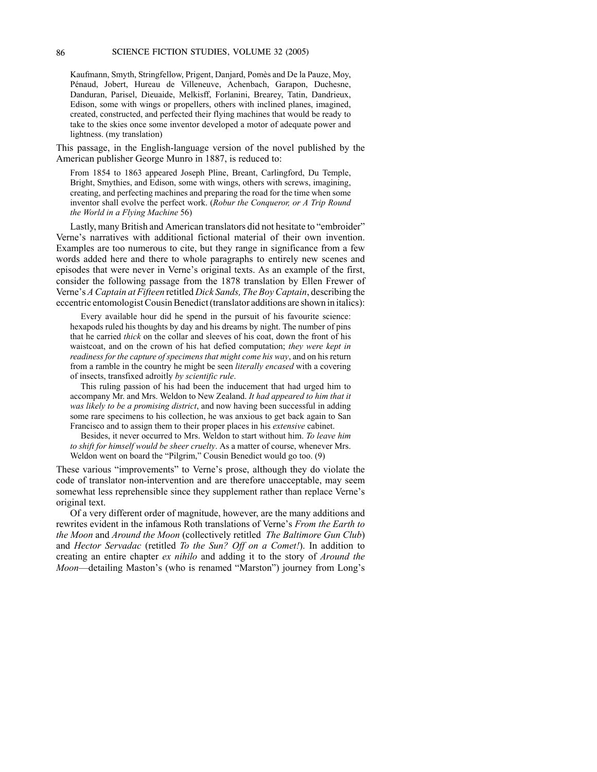Kaufmann, Smyth, Stringfellow, Prigent, Danjard, Pomès and De la Pauze, Moy, Pénaud, Jobert, Hureau de Villeneuve, Achenbach, Garapon, Duchesne, Danduran, Parisel, Dieuaide, Melkisff, Forlanini, Brearey, Tatin, Dandrieux, Edison, some with wings or propellers, others with inclined planes, imagined, created, constructed, and perfected their flying machines that would be ready to take to the skies once some inventor developed a motor of adequate power and lightness. (my translation)

This passage, in the English-language version of the novel published by the American publisher George Munro in 1887, is reduced to:

From 1854 to 1863 appeared Joseph Pline, Breant, Carlingford, Du Temple, Bright, Smythies, and Edison, some with wings, others with screws, imagining, creating, and perfecting machines and preparing the road for the time when some inventor shall evolve the perfect work. (Robur the Conqueror, or A Trip Round the World in a Flying Machine 56)

Lastly, many British and American translators did not hesitate to "embroider" Verne's narratives with additional fictional material of their own invention. Examples are too numerous to cite, but they range in significance from a few words added here and there to whole paragraphs to entirely new scenes and episodes that were never in Verne's original texts. As an example of the first, consider the following passage from the 1878 translation by Ellen Frewer of Verne's A Captain at Fifteen retitled Dick Sands, The Boy Captain, describing the eccentric entomologist Cousin Benedict (translator additions are shown in italics):

Every available hour did he spend in the pursuit of his favourite science: hexapods ruled his thoughts by day and his dreams by night. The number of pins that he carried thick on the collar and sleeves of his coat, down the front of his waistcoat, and on the crown of his hat defied computation; they were kept in readiness for the capture of specimens that might come his way, and on his return from a ramble in the country he might be seen literally encased with a covering of insects, transfixed adroitly by scientific rule.

This ruling passion of his had been the inducement that had urged him to accompany Mr. and Mrs. Weldon to New Zealand. It had appeared to him that it was likely to be a promising district, and now having been successful in adding some rare specimens to his collection, he was anxious to get back again to San Francisco and to assign them to their proper places in his extensive cabinet.

Besides, it never occurred to Mrs. Weldon to start without him. To leave him to shift for himself would be sheer cruelty. As a matter of course, whenever Mrs. Weldon went on board the "Pilgrim," Cousin Benedict would go too. (9)

These various "improvements" to Verne's prose, although they do violate the code of translator non-intervention and are therefore unacceptable, may seem somewhat less reprehensible since they supplement rather than replace Verne's original text.

Of a very different order of magnitude, however, are the many additions and rewrites evident in the infamous Roth translations of Verne's From the Earth to the Moon and Around the Moon (collectively retitled The Baltimore Gun Club) and Hector Servadac (retitled To the Sun? Off on a Comet!). In addition to creating an entire chapter ex nihilo and adding it to the story of Around the Moon—detailing Maston's (who is renamed "Marston") journey from Long's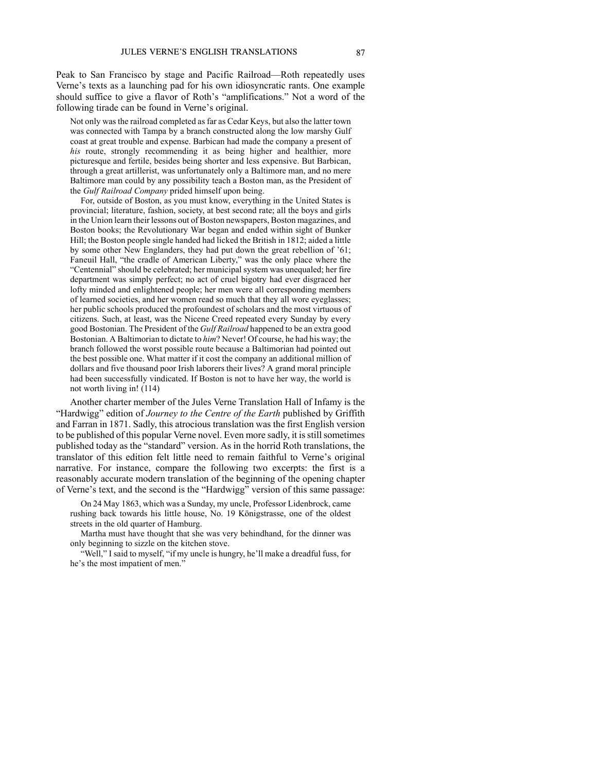Peak to San Francisco by stage and Pacific Railroad—Roth repeatedly uses Verne's texts as a launching pad for his own idiosyncratic rants. One example should suffice to give a flavor of Roth's "amplifications." Not a word of the following tirade can be found in Verne's original.

Not only was the railroad completed as far as Cedar Keys, but also the latter town was connected with Tampa by a branch constructed along the low marshy Gulf coast at great trouble and expense. Barbican had made the company a present of his route, strongly recommending it as being higher and healthier, more picturesque and fertile, besides being shorter and less expensive. But Barbican, through a great artillerist, was unfortunately only a Baltimore man, and no mere Baltimore man could by any possibility teach a Boston man, as the President of the Gulf Railroad Company prided himself upon being.

For, outside of Boston, as you must know, everything in the United States is provincial; literature, fashion, society, at best second rate; all the boys and girls in the Union learn their lessons out of Boston newspapers, Boston magazines, and Boston books; the Revolutionary War began and ended within sight of Bunker Hill; the Boston people single handed had licked the British in 1812; aided a little by some other New Englanders, they had put down the great rebellion of '61; Faneuil Hall, "the cradle of American Liberty," was the only place where the "Centennial" should be celebrated; her municipal system was unequaled; her fire department was simply perfect; no act of cruel bigotry had ever disgraced her lofty minded and enlightened people; her men were all corresponding members of learned societies, and her women read so much that they all wore eyeglasses; her public schools produced the profoundest of scholars and the most virtuous of citizens. Such, at least, was the Nicene Creed repeated every Sunday by every good Bostonian. The President of the Gulf Railroad happened to be an extra good Bostonian. A Baltimorian to dictate to him? Never! Of course, he had his way; the branch followed the worst possible route because a Baltimorian had pointed out the best possible one. What matter if it cost the company an additional million of dollars and five thousand poor Irish laborers their lives? A grand moral principle had been successfully vindicated. If Boston is not to have her way, the world is not worth living in! (114)

Another charter member of the Jules Verne Translation Hall of Infamy is the "Hardwigg" edition of Journey to the Centre of the Earth published by Griffith and Farran in 1871. Sadly, this atrocious translation was the first English version to be published of this popular Verne novel. Even more sadly, it is still sometimes published today as the "standard" version. As in the horrid Roth translations, the translator of this edition felt little need to remain faithful to Verne's original narrative. For instance, compare the following two excerpts: the first is a reasonably accurate modern translation of the beginning of the opening chapter of Verne's text, and the second is the "Hardwigg" version of this same passage:

On 24 May 1863, which was a Sunday, my uncle, Professor Lidenbrock, came rushing back towards his little house, No. 19 Königstrasse, one of the oldest streets in the old quarter of Hamburg.

Martha must have thought that she was very behindhand, for the dinner was only beginning to sizzle on the kitchen stove.

"Well," I said to myself, "if my uncle is hungry, he'll make a dreadful fuss, for he's the most impatient of men."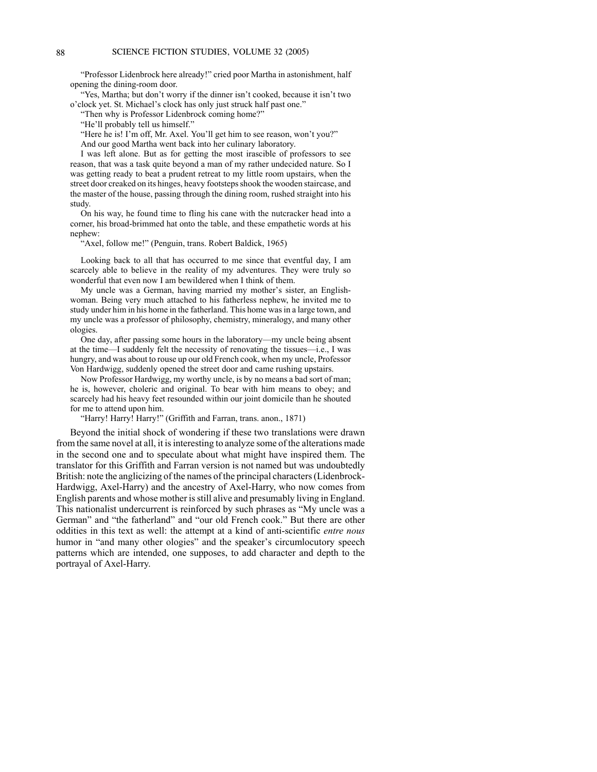"Professor Lidenbrock here already!" cried poor Martha in astonishment, half opening the dining-room door.

"Yes, Martha; but don't worry if the dinner isn't cooked, because it isn't two o'clock yet. St. Michael's clock has only just struck half past one."

"Then why is Professor Lidenbrock coming home?"

"He'll probably tell us himself."

"Here he is! I'm off, Mr. Axel. You'll get him to see reason, won't you?"

And our good Martha went back into her culinary laboratory.

I was left alone. But as for getting the most irascible of professors to see reason, that was a task quite beyond a man of my rather undecided nature. So I was getting ready to beat a prudent retreat to my little room upstairs, when the street door creaked on its hinges, heavy footsteps shook the wooden staircase, and the master of the house, passing through the dining room, rushed straight into his study.

On his way, he found time to fling his cane with the nutcracker head into a corner, his broad-brimmed hat onto the table, and these empathetic words at his nephew:

"Axel, follow me!" (Penguin, trans. Robert Baldick, 1965)

Looking back to all that has occurred to me since that eventful day, I am scarcely able to believe in the reality of my adventures. They were truly so wonderful that even now I am bewildered when I think of them.

My uncle was a German, having married my mother's sister, an Englishwoman. Being very much attached to his fatherless nephew, he invited me to study under him in his home in the fatherland. This home was in a large town, and my uncle was a professor of philosophy, chemistry, mineralogy, and many other ologies.

One day, after passing some hours in the laboratory—my uncle being absent at the time—I suddenly felt the necessity of renovating the tissues—i.e., I was hungry, and was about to rouse up our old French cook, when my uncle, Professor Von Hardwigg, suddenly opened the street door and came rushing upstairs.

Now Professor Hardwigg, my worthy uncle, is by no means a bad sort of man; he is, however, choleric and original. To bear with him means to obey; and scarcely had his heavy feet resounded within our joint domicile than he shouted for me to attend upon him.

"Harry! Harry! Harry!" (Griffith and Farran, trans. anon., 1871)

Beyond the initial shock of wondering if these two translations were drawn from the same novel at all, it is interesting to analyze some of the alterations made in the second one and to speculate about what might have inspired them. The translator for this Griffith and Farran version is not named but was undoubtedly British: note the anglicizing of the names of the principal characters (Lidenbrock-Hardwigg, Axel-Harry) and the ancestry of Axel-Harry, who now comes from English parents and whose mother is still alive and presumably living in England. This nationalist undercurrent is reinforced by such phrases as "My uncle was a German" and "the fatherland" and "our old French cook." But there are other oddities in this text as well: the attempt at a kind of anti-scientific entre nous humor in "and many other ologies" and the speaker's circumlocutory speech patterns which are intended, one supposes, to add character and depth to the portrayal of Axel-Harry.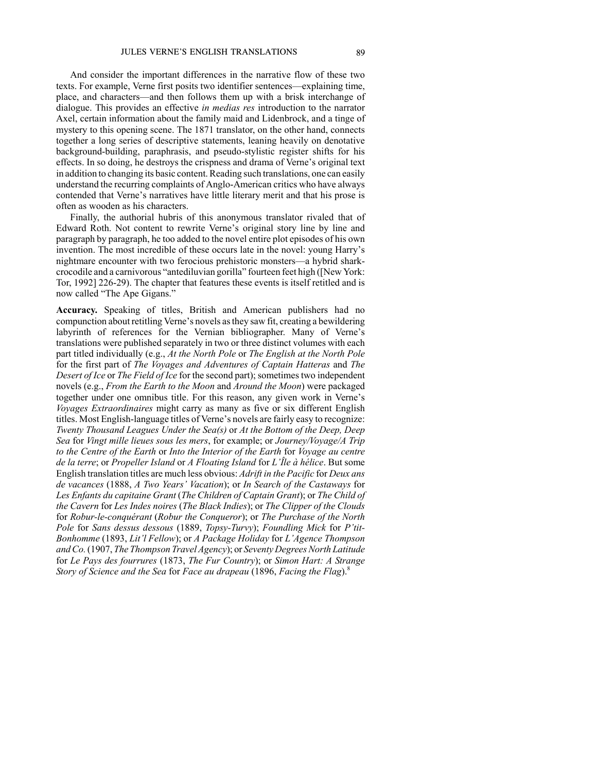And consider the important differences in the narrative flow of these two texts. For example, Verne first posits two identifier sentences—explaining time, place, and characters—and then follows them up with a brisk interchange of dialogue. This provides an effective in medias res introduction to the narrator Axel, certain information about the family maid and Lidenbrock, and a tinge of mystery to this opening scene. The 1871 translator, on the other hand, connects together a long series of descriptive statements, leaning heavily on denotative background-building, paraphrasis, and pseudo-stylistic register shifts for his effects. In so doing, he destroys the crispness and drama of Verne's original text in addition to changing its basic content. Reading such translations, one can easily understand the recurring complaints of Anglo-American critics who have always contended that Verne's narratives have little literary merit and that his prose is often as wooden as his characters.

Finally, the authorial hubris of this anonymous translator rivaled that of Edward Roth. Not content to rewrite Verne's original story line by line and paragraph by paragraph, he too added to the novel entire plot episodes of his own invention. The most incredible of these occurs late in the novel: young Harry's nightmare encounter with two ferocious prehistoric monsters—a hybrid sharkcrocodile and a carnivorous "antediluvian gorilla" fourteen feet high ([New York: Tor, 1992] 226-29). The chapter that features these events is itself retitled and is now called "The Ape Gigans."

Accuracy. Speaking of titles, British and American publishers had no compunction about retitling Verne's novels as they saw fit, creating a bewildering labyrinth of references for the Vernian bibliographer. Many of Verne's translations were published separately in two or three distinct volumes with each part titled individually (e.g., At the North Pole or The English at the North Pole for the first part of The Voyages and Adventures of Captain Hatteras and The Desert of Ice or The Field of Ice for the second part); sometimes two independent novels (e.g., From the Earth to the Moon and Around the Moon) were packaged together under one omnibus title. For this reason, any given work in Verne's Voyages Extraordinaires might carry as many as five or six different English titles. Most English-language titles of Verne's novels are fairly easy to recognize: Twenty Thousand Leagues Under the Sea(s) or At the Bottom of the Deep, Deep Sea for Vingt mille lieues sous les mers, for example; or Journey/Voyage/A Trip to the Centre of the Earth or Into the Interior of the Earth for Voyage au centre de la terre; or Propeller Island or A Floating Island for L'Île à hélice. But some English translation titles are much less obvious: Adrift in the Pacific for Deux ans de vacances (1888, A Two Years' Vacation); or In Search of the Castaways for Les Enfants du capitaine Grant (The Children of Captain Grant); or The Child of the Cavern for Les Indes noires (The Black Indies); or The Clipper of the Clouds for Robur-le-conquérant (Robur the Conqueror); or The Purchase of the North Pole for Sans dessus dessous (1889, Topsy-Tury); Foundling Mick for P'tit-Bonhomme (1893, Lit'l Fellow); or A Package Holiday for L'Agence Thompson and Co. (1907, The Thompson Travel Agency); or Seventy Degrees North Latitude for Le Pays des fourrures (1873, The Fur Country); or Simon Hart: A Strange Story of Science and the Sea for Face au drapeau (1896, Facing the Flag).<sup>8</sup>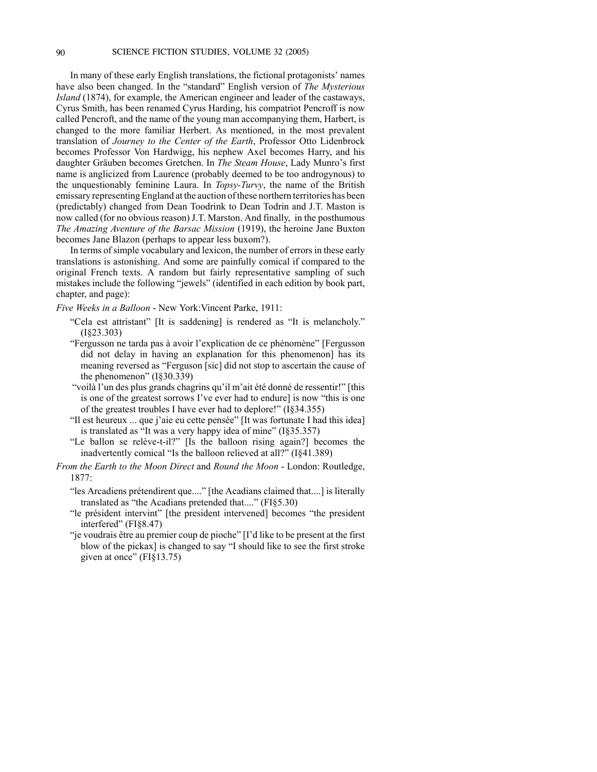In many of these early English translations, the fictional protagonists' names have also been changed. In the "standard" English version of The Mysterious Island (1874), for example, the American engineer and leader of the castaways, Cyrus Smith, has been renamed Cyrus Harding, his compatriot Pencroff is now called Pencroft, and the name of the young man accompanying them, Harbert, is changed to the more familiar Herbert. As mentioned, in the most prevalent translation of Journey to the Center of the Earth, Professor Otto Lidenbrock becomes Professor Von Hardwigg, his nephew Axel becomes Harry, and his daughter Gräuben becomes Gretchen. In The Steam House, Lady Munro's first name is anglicized from Laurence (probably deemed to be too androgynous) to the unquestionably feminine Laura. In Topsy-Turvy, the name of the British emissary representing England at the auction of these northern territories has been (predictably) changed from Dean Toodrink to Dean Todrin and J.T. Maston is now called (for no obvious reason) J.T. Marston. And finally, in the posthumous The Amazing Aventure of the Barsac Mission (1919), the heroine Jane Buxton becomes Jane Blazon (perhaps to appear less buxom?).

In terms of simple vocabulary and lexicon, the number of errors in these early translations is astonishing. And some are painfully comical if compared to the original French texts. A random but fairly representative sampling of such mistakes include the following "jewels" (identified in each edition by book part, chapter, and page):

Five Weeks in a Balloon - New York:Vincent Parke, 1911:

- "Cela est attristant" [It is saddening] is rendered as "It is melancholy." (I§23.303)
- "Fergusson ne tarda pas à avoir l'explication de ce phénomène" [Fergusson did not delay in having an explanation for this phenomenon] has its meaning reversed as "Ferguson [sic] did not stop to ascertain the cause of the phenomenon" (I§30.339)
- "voilà l'un des plus grands chagrins qu'il m'ait été donné de ressentir!" [this is one of the greatest sorrows I've ever had to endure] is now "this is one of the greatest troubles I have ever had to deplore!" (I§34.355)
- "Il est heureux ... que j'aie eu cette pensée" [It was fortunate I had this idea] is translated as "It was a very happy idea of mine" (I§35.357)
- "Le ballon se relève-t-il?" [Is the balloon rising again?] becomes the inadvertently comical "Is the balloon relieved at all?" (I§41.389)
- From the Earth to the Moon Direct and Round the Moon London: Routledge, 1877:
	- "les Arcadiens prétendirent que...." [the Acadians claimed that....] is literally translated as "the Acadians pretended that...." (FI§5.30)
	- "le président intervint" [the president intervened] becomes "the president interfered" (FI§8.47)
	- "je voudrais être au premier coup de pioche" [I'd like to be present at the first blow of the pickax] is changed to say "I should like to see the first stroke given at once" (FI§13.75)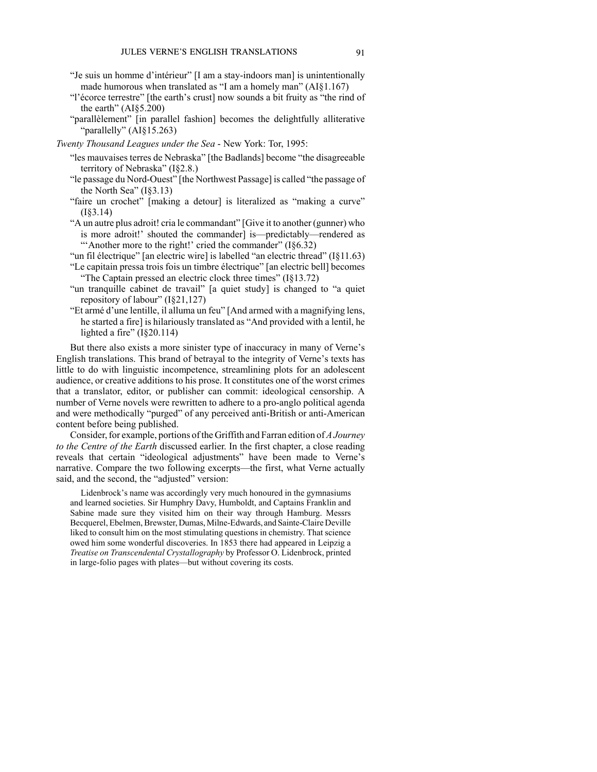- "Je suis un homme d'intérieur" [I am a stay-indoors man] is unintentionally made humorous when translated as "I am a homely man" (AI§1.167)
- "l'écorce terrestre" [the earth's crust] now sounds a bit fruity as "the rind of the earth"  $(AI§5.200)$
- "parallèlement" [in parallel fashion] becomes the delightfully alliterative "parallelly"  $(AI§15.263)$

Twenty Thousand Leagues under the Sea - New York: Tor, 1995:

- "les mauvaises terres de Nebraska" [the Badlands] become "the disagreeable territory of Nebraska" (I§2.8.)
- "le passage du Nord-Ouest" [the Northwest Passage] is called "the passage of the North Sea"  $(I§3.13)$
- "faire un crochet" [making a detour] is literalized as "making a curve" (I§3.14)
- "A un autre plus adroit! cria le commandant" [Give it to another (gunner) who is more adroit!' shouted the commander] is—predictably—rendered as "'Another more to the right!' cried the commander" (I§6.32)
- "un fil électrique" [an electric wire] is labelled "an electric thread" (I§11.63)
- "Le capitain pressa trois fois un timbre électrique" [an electric bell] becomes "The Captain pressed an electric clock three times" (I§13.72)
- "un tranquille cabinet de travail" [a quiet study] is changed to "a quiet repository of labour" (I§21,127)
- "Et armé d'une lentille, il alluma un feu" [And armed with a magnifying lens, he started a fire] is hilariously translated as "And provided with a lentil, he lighted a fire"  $(I§20.114)$

But there also exists a more sinister type of inaccuracy in many of Verne's English translations. This brand of betrayal to the integrity of Verne's texts has little to do with linguistic incompetence, streamlining plots for an adolescent audience, or creative additions to his prose. It constitutes one of the worst crimes that a translator, editor, or publisher can commit: ideological censorship. A number of Verne novels were rewritten to adhere to a pro-anglo political agenda and were methodically "purged" of any perceived anti-British or anti-American content before being published.

Consider, for example, portions of the Griffith and Farran edition of  $A$  Journey to the Centre of the Earth discussed earlier. In the first chapter, a close reading reveals that certain "ideological adjustments" have been made to Verne's narrative. Compare the two following excerpts—the first, what Verne actually said, and the second, the "adjusted" version:

Lidenbrock's name was accordingly very much honoured in the gymnasiums and learned societies. Sir Humphry Davy, Humboldt, and Captains Franklin and Sabine made sure they visited him on their way through Hamburg. Messrs Becquerel, Ebelmen, Brewster, Dumas, Milne-Edwards, and Sainte-Claire Deville liked to consult him on the most stimulating questions in chemistry. That science owed him some wonderful discoveries. In 1853 there had appeared in Leipzig a Treatise on Transcendental Crystallography by Professor O. Lidenbrock, printed in large-folio pages with plates—but without covering its costs.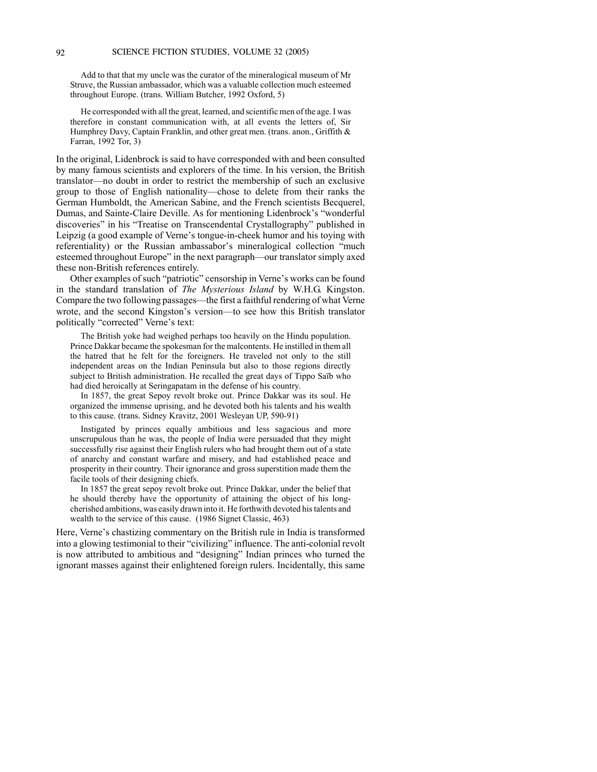Add to that that my uncle was the curator of the mineralogical museum of Mr Struve, the Russian ambassador, which was a valuable collection much esteemed throughout Europe. (trans. William Butcher, 1992 Oxford, 5)

He corresponded with all the great, learned, and scientific men of the age. I was therefore in constant communication with, at all events the letters of, Sir Humphrey Davy, Captain Franklin, and other great men. (trans. anon., Griffith & Farran, 1992 Tor, 3)

In the original, Lidenbrock is said to have corresponded with and been consulted by many famous scientists and explorers of the time. In his version, the British translator—no doubt in order to restrict the membership of such an exclusive group to those of English nationality—chose to delete from their ranks the German Humboldt, the American Sabine, and the French scientists Becquerel, Dumas, and Sainte-Claire Deville. As for mentioning Lidenbrock's "wonderful discoveries" in his "Treatise on Transcendental Crystallography" published in Leipzig (a good example of Verne's tongue-in-cheek humor and his toying with referentiality) or the Russian ambassabor's mineralogical collection "much esteemed throughout Europe" in the next paragraph—our translator simply axed these non-British references entirely.

Other examples of such "patriotic" censorship in Verne's works can be found in the standard translation of The Mysterious Island by W.H.G. Kingston. Compare the two following passages—the first a faithful rendering of what Verne wrote, and the second Kingston's version—to see how this British translator politically "corrected" Verne's text:

The British yoke had weighed perhaps too heavily on the Hindu population. Prince Dakkar became the spokesman for the malcontents. He instilled in them all the hatred that he felt for the foreigners. He traveled not only to the still independent areas on the Indian Peninsula but also to those regions directly subject to British administration. He recalled the great days of Tippo Saïb who had died heroically at Seringapatam in the defense of his country.

In 1857, the great Sepoy revolt broke out. Prince Dakkar was its soul. He organized the immense uprising, and he devoted both his talents and his wealth to this cause. (trans. Sidney Kravitz, 2001 Wesleyan UP, 590-91)

Instigated by princes equally ambitious and less sagacious and more unscrupulous than he was, the people of India were persuaded that they might successfully rise against their English rulers who had brought them out of a state of anarchy and constant warfare and misery, and had established peace and prosperity in their country. Their ignorance and gross superstition made them the facile tools of their designing chiefs.

In 1857 the great sepoy revolt broke out. Prince Dakkar, under the belief that he should thereby have the opportunity of attaining the object of his longcherished ambitions, was easily drawn into it. He forthwith devoted his talents and wealth to the service of this cause. (1986 Signet Classic, 463)

Here, Verne's chastizing commentary on the British rule in India is transformed into a glowing testimonial to their "civilizing" influence. The anti-colonial revolt is now attributed to ambitious and "designing" Indian princes who turned the ignorant masses against their enlightened foreign rulers. Incidentally, this same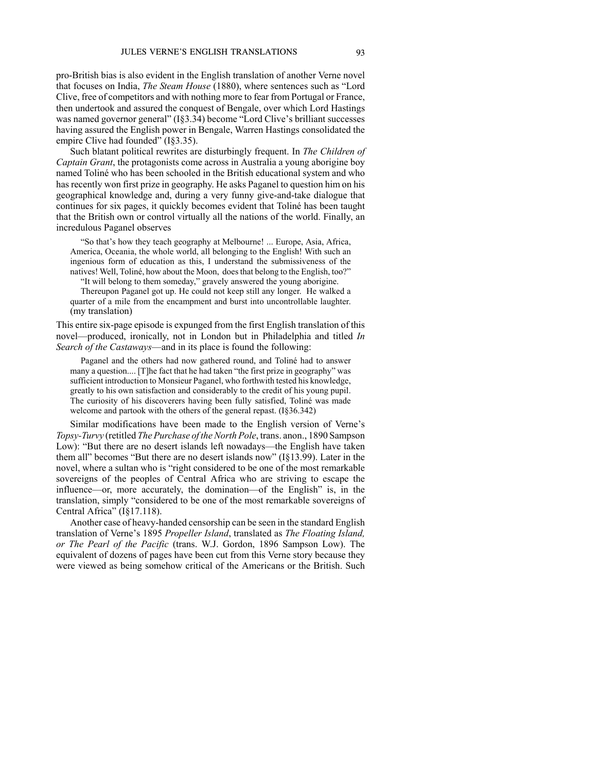pro-British bias is also evident in the English translation of another Verne novel that focuses on India, The Steam House (1880), where sentences such as "Lord Clive, free of competitors and with nothing more to fear from Portugal or France, then undertook and assured the conquest of Bengale, over which Lord Hastings was named governor general" (I§3.34) become "Lord Clive's brilliant successes having assured the English power in Bengale, Warren Hastings consolidated the empire Clive had founded" (I§3.35).

Such blatant political rewrites are disturbingly frequent. In The Children of Captain Grant, the protagonists come across in Australia a young aborigine boy named Toliné who has been schooled in the British educational system and who has recently won first prize in geography. He asks Paganel to question him on his geographical knowledge and, during a very funny give-and-take dialogue that continues for six pages, it quickly becomes evident that Toliné has been taught that the British own or control virtually all the nations of the world. Finally, an incredulous Paganel observes

"So that's how they teach geography at Melbourne! ... Europe, Asia, Africa, America, Oceania, the whole world, all belonging to the English! With such an ingenious form of education as this, I understand the submissiveness of the natives! Well, Toliné, how about the Moon, does that belong to the English, too?"

"It will belong to them someday," gravely answered the young aborigine.

Thereupon Paganel got up. He could not keep still any longer. He walked a quarter of a mile from the encampment and burst into uncontrollable laughter. (my translation)

This entire six-page episode is expunged from the first English translation of this novel—produced, ironically, not in London but in Philadelphia and titled In Search of the Castaways—and in its place is found the following:

Paganel and the others had now gathered round, and Toliné had to answer many a question.... [T]he fact that he had taken "the first prize in geography" was sufficient introduction to Monsieur Paganel, who forthwith tested his knowledge, greatly to his own satisfaction and considerably to the credit of his young pupil. The curiosity of his discoverers having been fully satisfied, Toliné was made welcome and partook with the others of the general repast. (I§36.342)

Similar modifications have been made to the English version of Verne's Topsy-Turvy (retitled The Purchase of the North Pole, trans. anon., 1890 Sampson Low): "But there are no desert islands left nowadays—the English have taken them all" becomes "But there are no desert islands now" (I§13.99). Later in the novel, where a sultan who is "right considered to be one of the most remarkable sovereigns of the peoples of Central Africa who are striving to escape the influence—or, more accurately, the domination—of the English" is, in the translation, simply "considered to be one of the most remarkable sovereigns of Central Africa" (I§17.118).

Another case of heavy-handed censorship can be seen in the standard English translation of Verne's 1895 Propeller Island, translated as The Floating Island, or The Pearl of the Pacific (trans. W.J. Gordon, 1896 Sampson Low). The equivalent of dozens of pages have been cut from this Verne story because they were viewed as being somehow critical of the Americans or the British. Such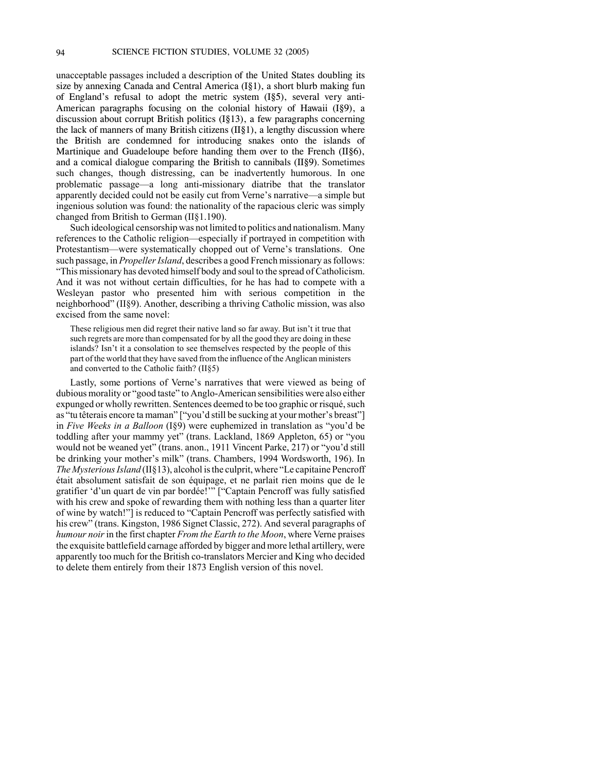unacceptable passages included a description of the United States doubling its size by annexing Canada and Central America (I§1), a short blurb making fun of England's refusal to adopt the metric system (I§5), several very anti-American paragraphs focusing on the colonial history of Hawaii (I§9), a discussion about corrupt British politics (I§13), a few paragraphs concerning the lack of manners of many British citizens  $(II<sub>§</sub>1)$ , a lengthy discussion where the British are condemned for introducing snakes onto the islands of Martinique and Guadeloupe before handing them over to the French  $(II\xi6)$ , and a comical dialogue comparing the British to cannibals (II§9). Sometimes such changes, though distressing, can be inadvertently humorous. In one problematic passage—a long anti-missionary diatribe that the translator apparently decided could not be easily cut from Verne's narrative—a simple but ingenious solution was found: the nationality of the rapacious cleric was simply changed from British to German (II§1.190).

Such ideological censorship was not limited to politics and nationalism. Many references to the Catholic religion—especially if portrayed in competition with Protestantism—were systematically chopped out of Verne's translations. One such passage, in *Propeller Island*, describes a good French missionary as follows: "This missionary has devoted himself body and soul to the spread of Catholicism. And it was not without certain difficulties, for he has had to compete with a Wesleyan pastor who presented him with serious competition in the neighborhood" (II§9). Another, describing a thriving Catholic mission, was also excised from the same novel:

These religious men did regret their native land so far away. But isn't it true that such regrets are more than compensated for by all the good they are doing in these islands? Isn't it a consolation to see themselves respected by the people of this part of the world that they have saved from the influence of the Anglican ministers and converted to the Catholic faith? (II§5)

Lastly, some portions of Verne's narratives that were viewed as being of dubious morality or "good taste" to Anglo-American sensibilities were also either expunged or wholly rewritten. Sentences deemed to be too graphic or risqué, such as "tu têterais encore ta maman" ["you'd still be sucking at your mother's breast"] in Five Weeks in a Balloon (I§9) were euphemized in translation as "you'd be toddling after your mammy yet" (trans. Lackland, 1869 Appleton, 65) or "you would not be weaned yet" (trans. anon., 1911 Vincent Parke, 217) or "you'd still be drinking your mother's milk" (trans. Chambers, 1994 Wordsworth, 196). In The Mysterious Island (II§13), alcohol is the culprit, where "Le capitaine Pencroff était absolument satisfait de son équipage, et ne parlait rien moins que de le gratifier 'd'un quart de vin par bordée!'" ["Captain Pencroff was fully satisfied with his crew and spoke of rewarding them with nothing less than a quarter liter of wine by watch!"] is reduced to "Captain Pencroff was perfectly satisfied with his crew" (trans. Kingston, 1986 Signet Classic, 272). And several paragraphs of humour noir in the first chapter From the Earth to the Moon, where Verne praises the exquisite battlefield carnage afforded by bigger and more lethal artillery, were apparently too much for the British co-translators Mercier and King who decided to delete them entirely from their 1873 English version of this novel.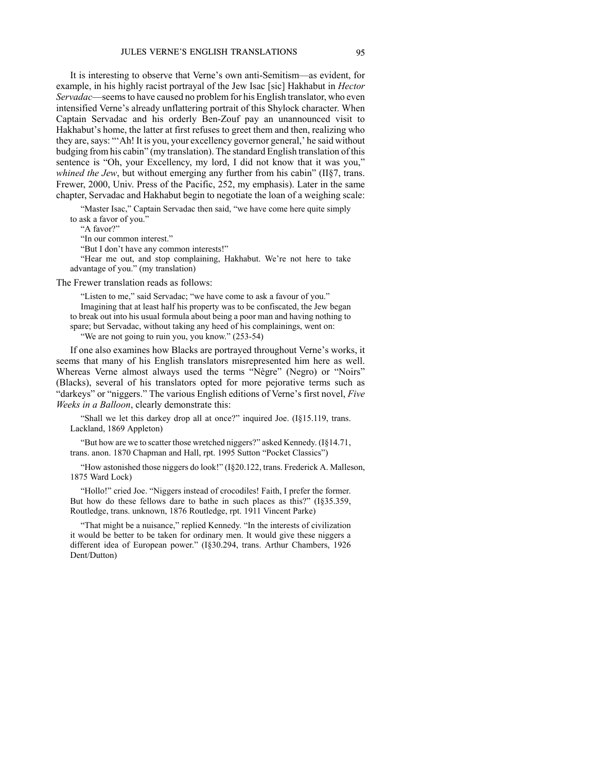It is interesting to observe that Verne's own anti-Semitism—as evident, for example, in his highly racist portrayal of the Jew Isac [sic] Hakhabut in Hector Servadac—seems to have caused no problem for his English translator, who even intensified Verne's already unflattering portrait of this Shylock character. When Captain Servadac and his orderly Ben-Zouf pay an unannounced visit to Hakhabut's home, the latter at first refuses to greet them and then, realizing who they are, says: "'Ah! It is you, your excellency governor general,' he said without budging from his cabin" (my translation). The standard English translation of this sentence is "Oh, your Excellency, my lord, I did not know that it was you," whined the Jew, but without emerging any further from his cabin" (II§7, trans. Frewer, 2000, Univ. Press of the Pacific, 252, my emphasis). Later in the same chapter, Servadac and Hakhabut begin to negotiate the loan of a weighing scale:

"Master Isac," Captain Servadac then said, "we have come here quite simply to ask a favor of you."

"A favor?"

"In our common interest."

"But I don't have any common interests!"

"Hear me out, and stop complaining, Hakhabut. We're not here to take advantage of you." (my translation)

The Frewer translation reads as follows:

"Listen to me," said Servadac; "we have come to ask a favour of you." Imagining that at least half his property was to be confiscated, the Jew began to break out into his usual formula about being a poor man and having nothing to spare; but Servadac, without taking any heed of his complainings, went on: "We are not going to ruin you, you know." (253-54)

If one also examines how Blacks are portrayed throughout Verne's works, it seems that many of his English translators misrepresented him here as well. Whereas Verne almost always used the terms "Nègre" (Negro) or "Noirs" (Blacks), several of his translators opted for more pejorative terms such as "darkeys" or "niggers." The various English editions of Verne's first novel, Five Weeks in a Balloon, clearly demonstrate this:

"Shall we let this darkey drop all at once?" inquired Joe. (I§15.119, trans. Lackland, 1869 Appleton)

"But how are we to scatter those wretched niggers?" asked Kennedy. (I§14.71, trans. anon. 1870 Chapman and Hall, rpt. 1995 Sutton "Pocket Classics")

"How astonished those niggers do look!" (I§20.122, trans. Frederick A. Malleson, 1875 Ward Lock)

"Hollo!" cried Joe. "Niggers instead of crocodiles! Faith, I prefer the former. But how do these fellows dare to bathe in such places as this?" (I§35.359, Routledge, trans. unknown, 1876 Routledge, rpt. 1911 Vincent Parke)

"That might be a nuisance," replied Kennedy. "In the interests of civilization it would be better to be taken for ordinary men. It would give these niggers a different idea of European power." (I§30.294, trans. Arthur Chambers, 1926 Dent/Dutton)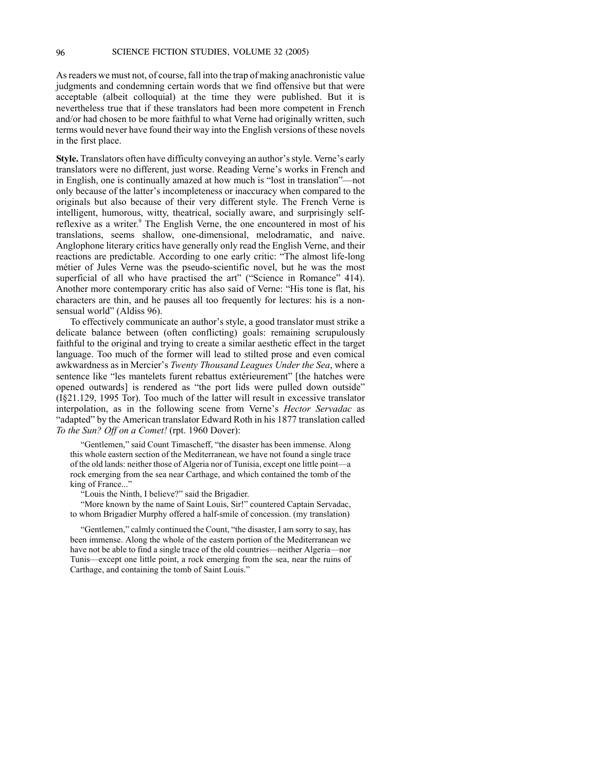As readers we must not, of course, fall into the trap of making anachronistic value judgments and condemning certain words that we find offensive but that were acceptable (albeit colloquial) at the time they were published. But it is nevertheless true that if these translators had been more competent in French and/or had chosen to be more faithful to what Verne had originally written, such terms would never have found their way into the English versions of these novels in the first place.

Style. Translators often have difficulty conveying an author's style. Verne's early translators were no different, just worse. Reading Verne's works in French and in English, one is continually amazed at how much is "lost in translation"—not only because of the latter's incompleteness or inaccuracy when compared to the originals but also because of their very different style. The French Verne is intelligent, humorous, witty, theatrical, socially aware, and surprisingly selfreflexive as a writer.<sup>9</sup> The English Verne, the one encountered in most of his translations, seems shallow, one-dimensional, melodramatic, and naive. Anglophone literary critics have generally only read the English Verne, and their reactions are predictable. According to one early critic: "The almost life-long métier of Jules Verne was the pseudo-scientific novel, but he was the most superficial of all who have practised the art" ("Science in Romance" 414). Another more contemporary critic has also said of Verne: "His tone is flat, his characters are thin, and he pauses all too frequently for lectures: his is a nonsensual world" (Aldiss 96).

To effectively communicate an author's style, a good translator must strike a delicate balance between (often conflicting) goals: remaining scrupulously faithful to the original and trying to create a similar aesthetic effect in the target language. Too much of the former will lead to stilted prose and even comical awkwardness as in Mercier's Twenty Thousand Leagues Under the Sea, where a sentence like "les mantelets furent rebattus extérieurement" [the hatches were opened outwards] is rendered as "the port lids were pulled down outside" (I§21.129, 1995 Tor). Too much of the latter will result in excessive translator interpolation, as in the following scene from Verne's Hector Servadac as "adapted" by the American translator Edward Roth in his 1877 translation called To the Sun? Off on a Comet! (rpt. 1960 Dover):

"Gentlemen," said Count Timascheff, "the disaster has been immense. Along this whole eastern section of the Mediterranean, we have not found a single trace of the old lands: neither those of Algeria nor of Tunisia, except one little point—a rock emerging from the sea near Carthage, and which contained the tomb of the king of France..."

"Louis the Ninth, I believe?" said the Brigadier.

"More known by the name of Saint Louis, Sir!" countered Captain Servadac, to whom Brigadier Murphy offered a half-smile of concession. (my translation)

"Gentlemen," calmly continued the Count, "the disaster, I am sorry to say, has been immense. Along the whole of the eastern portion of the Mediterranean we have not be able to find a single trace of the old countries—neither Algeria—nor Tunis—except one little point, a rock emerging from the sea, near the ruins of Carthage, and containing the tomb of Saint Louis."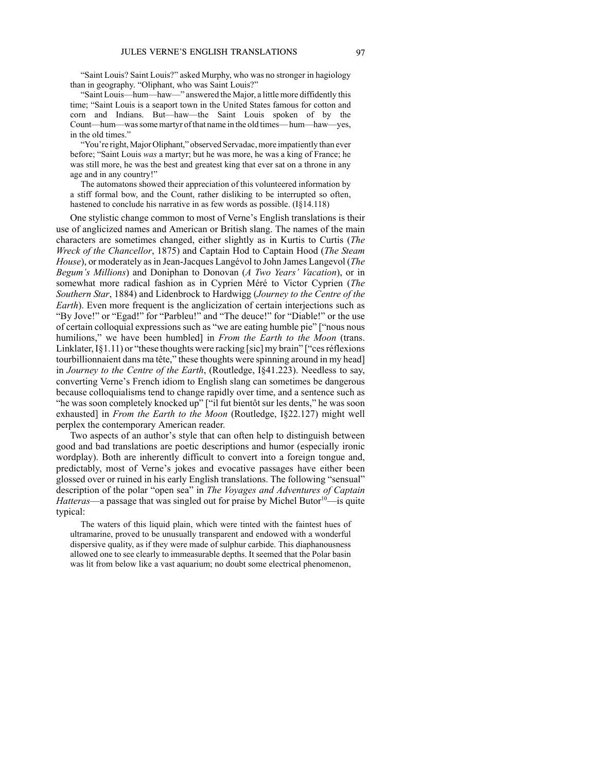"Saint Louis? Saint Louis?" asked Murphy, who was no stronger in hagiology than in geography. "Oliphant, who was Saint Louis?"

"Saint Louis—hum—haw—" answered the Major, a little more diffidently this time; "Saint Louis is a seaport town in the United States famous for cotton and corn and Indians. But—haw—the Saint Louis spoken of by the Count—hum—was some martyr of that name in the old times— hum—haw—yes, in the old times."

"You're right, Major Oliphant," observed Servadac, more impatiently than ever before; "Saint Louis was a martyr; but he was more, he was a king of France; he was still more, he was the best and greatest king that ever sat on a throne in any age and in any country!"

The automatons showed their appreciation of this volunteered information by a stiff formal bow, and the Count, rather disliking to be interrupted so often, hastened to conclude his narrative in as few words as possible. (I§14.118)

One stylistic change common to most of Verne's English translations is their use of anglicized names and American or British slang. The names of the main characters are sometimes changed, either slightly as in Kurtis to Curtis (The Wreck of the Chancellor, 1875) and Captain Hod to Captain Hood (The Steam House), or moderately as in Jean-Jacques Langévol to John James Langevol (The Begum's Millions) and Doniphan to Donovan (A Two Years' Vacation), or in somewhat more radical fashion as in Cyprien Méré to Victor Cyprien (The Southern Star, 1884) and Lidenbrock to Hardwigg (Journey to the Centre of the Earth). Even more frequent is the anglicization of certain interjections such as "By Jove!" or "Egad!" for "Parbleu!" and "The deuce!" for "Diable!" or the use of certain colloquial expressions such as "we are eating humble pie" ["nous nous humilions," we have been humbled] in From the Earth to the Moon (trans. Linklater, I§1.11) or "these thoughts were racking [sic] my brain" ["ces réflexions"] tourbillionnaient dans ma tête," these thoughts were spinning around in my head] in Journey to the Centre of the Earth, (Routledge, I§41.223). Needless to say, converting Verne's French idiom to English slang can sometimes be dangerous because colloquialisms tend to change rapidly over time, and a sentence such as "he was soon completely knocked up" ["il fut bientôt sur les dents," he was soon exhausted] in From the Earth to the Moon (Routledge, I§22.127) might well perplex the contemporary American reader.

Two aspects of an author's style that can often help to distinguish between good and bad translations are poetic descriptions and humor (especially ironic wordplay). Both are inherently difficult to convert into a foreign tongue and, predictably, most of Verne's jokes and evocative passages have either been glossed over or ruined in his early English translations. The following "sensual" description of the polar "open sea" in The Voyages and Adventures of Captain Hatteras—a passage that was singled out for praise by Michel Butor<sup>10</sup>—is quite typical:

The waters of this liquid plain, which were tinted with the faintest hues of ultramarine, proved to be unusually transparent and endowed with a wonderful dispersive quality, as if they were made of sulphur carbide. This diaphanousness allowed one to see clearly to immeasurable depths. It seemed that the Polar basin was lit from below like a vast aquarium; no doubt some electrical phenomenon,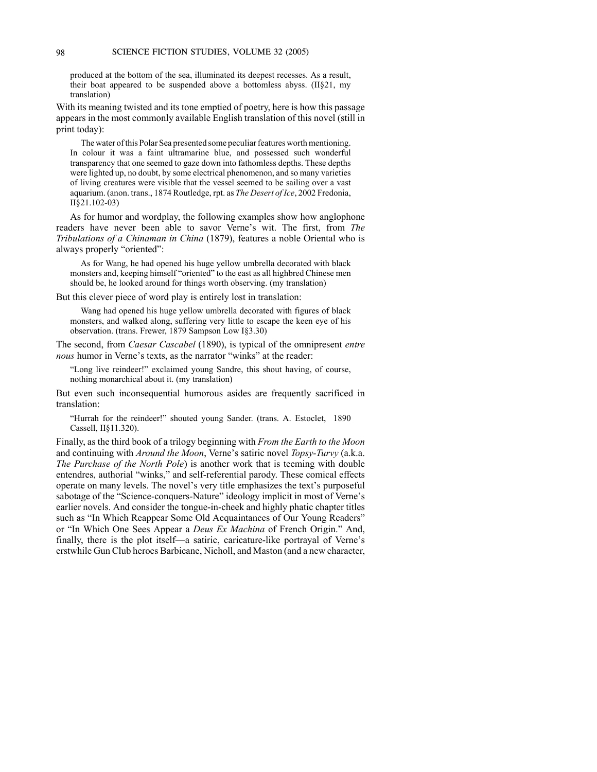produced at the bottom of the sea, illuminated its deepest recesses. As a result, their boat appeared to be suspended above a bottomless abyss. (II§21, my translation)

With its meaning twisted and its tone emptied of poetry, here is how this passage appears in the most commonly available English translation of this novel (still in print today):

The water of this Polar Sea presented some peculiar features worth mentioning. In colour it was a faint ultramarine blue, and possessed such wonderful transparency that one seemed to gaze down into fathomless depths. These depths were lighted up, no doubt, by some electrical phenomenon, and so many varieties of living creatures were visible that the vessel seemed to be sailing over a vast aquarium. (anon. trans., 1874 Routledge, rpt. as The Desert of Ice, 2002 Fredonia, II§21.102-03)

As for humor and wordplay, the following examples show how anglophone readers have never been able to savor Verne's wit. The first, from The Tribulations of a Chinaman in China (1879), features a noble Oriental who is always properly "oriented":

As for Wang, he had opened his huge yellow umbrella decorated with black monsters and, keeping himself "oriented" to the east as all highbred Chinese men should be, he looked around for things worth observing. (my translation)

But this clever piece of word play is entirely lost in translation:

Wang had opened his huge yellow umbrella decorated with figures of black monsters, and walked along, suffering very little to escape the keen eye of his observation. (trans. Frewer, 1879 Sampson Low I§3.30)

The second, from *Caesar Cascabel* (1890), is typical of the omnipresent *entre* nous humor in Verne's texts, as the narrator "winks" at the reader:

"Long live reindeer!" exclaimed young Sandre, this shout having, of course, nothing monarchical about it. (my translation)

But even such inconsequential humorous asides are frequently sacrificed in translation:

"Hurrah for the reindeer!" shouted young Sander. (trans. A. Estoclet, 1890 Cassell, II§11.320).

Finally, as the third book of a trilogy beginning with From the Earth to the Moon and continuing with Around the Moon, Verne's satiric novel Topsy-Turvy (a.k.a. The Purchase of the North Pole) is another work that is teeming with double entendres, authorial "winks," and self-referential parody. These comical effects operate on many levels. The novel's very title emphasizes the text's purposeful sabotage of the "Science-conquers-Nature" ideology implicit in most of Verne's earlier novels. And consider the tongue-in-cheek and highly phatic chapter titles such as "In Which Reappear Some Old Acquaintances of Our Young Readers" or "In Which One Sees Appear a Deus Ex Machina of French Origin." And, finally, there is the plot itself—a satiric, caricature-like portrayal of Verne's erstwhile Gun Club heroes Barbicane, Nicholl, and Maston (and a new character,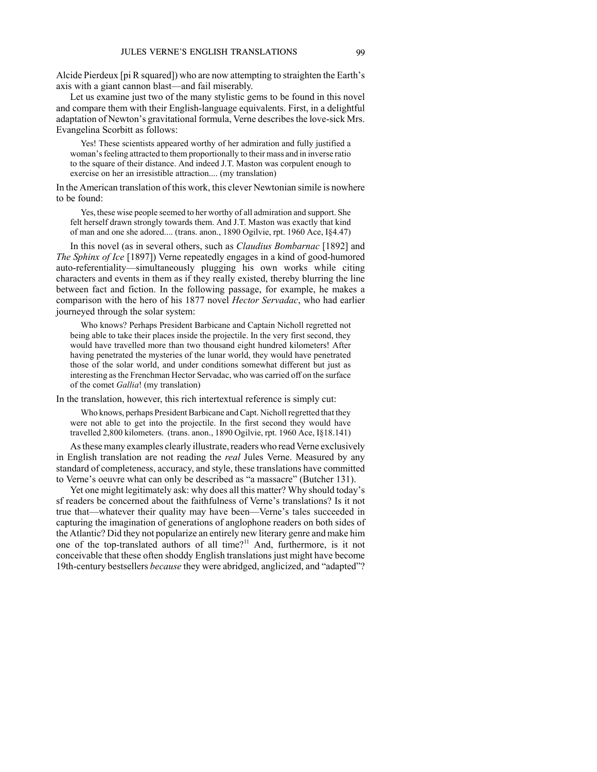Alcide Pierdeux [pi R squared]) who are now attempting to straighten the Earth's axis with a giant cannon blast—and fail miserably.

Let us examine just two of the many stylistic gems to be found in this novel and compare them with their English-language equivalents. First, in a delightful adaptation of Newton's gravitational formula, Verne describes the love-sick Mrs. Evangelina Scorbitt as follows:

Yes! These scientists appeared worthy of her admiration and fully justified a woman's feeling attracted to them proportionally to their mass and in inverse ratio to the square of their distance. And indeed J.T. Maston was corpulent enough to exercise on her an irresistible attraction.... (my translation)

In the American translation of this work, this clever Newtonian simile is nowhere to be found:

Yes, these wise people seemed to her worthy of all admiration and support. She felt herself drawn strongly towards them. And J.T. Maston was exactly that kind of man and one she adored.... (trans. anon., 1890 Ogilvie, rpt. 1960 Ace, I§4.47)

In this novel (as in several others, such as *Claudius Bombarnac* [1892] and The Sphinx of Ice [1897]) Verne repeatedly engages in a kind of good-humored auto-referentiality—simultaneously plugging his own works while citing characters and events in them as if they really existed, thereby blurring the line between fact and fiction. In the following passage, for example, he makes a comparison with the hero of his 1877 novel Hector Servadac, who had earlier journeyed through the solar system:

Who knows? Perhaps President Barbicane and Captain Nicholl regretted not being able to take their places inside the projectile. In the very first second, they would have travelled more than two thousand eight hundred kilometers! After having penetrated the mysteries of the lunar world, they would have penetrated those of the solar world, and under conditions somewhat different but just as interesting as the Frenchman Hector Servadac, who was carried off on the surface of the comet Gallia! (my translation)

In the translation, however, this rich intertextual reference is simply cut:

Who knows, perhaps President Barbicane and Capt. Nicholl regretted that they were not able to get into the projectile. In the first second they would have travelled 2,800 kilometers. (trans. anon., 1890 Ogilvie, rpt. 1960 Ace, I§18.141)

As these many examples clearly illustrate, readers who read Verne exclusively in English translation are not reading the real Jules Verne. Measured by any standard of completeness, accuracy, and style, these translations have committed to Verne's oeuvre what can only be described as "a massacre" (Butcher 131).

Yet one might legitimately ask: why does all this matter? Why should today's sf readers be concerned about the faithfulness of Verne's translations? Is it not true that—whatever their quality may have been—Verne's tales succeeded in capturing the imagination of generations of anglophone readers on both sides of the Atlantic? Did they not popularize an entirely new literary genre and make him one of the top-translated authors of all time?<sup>11</sup> And, furthermore, is it not conceivable that these often shoddy English translations just might have become 19th-century bestsellers because they were abridged, anglicized, and "adapted"?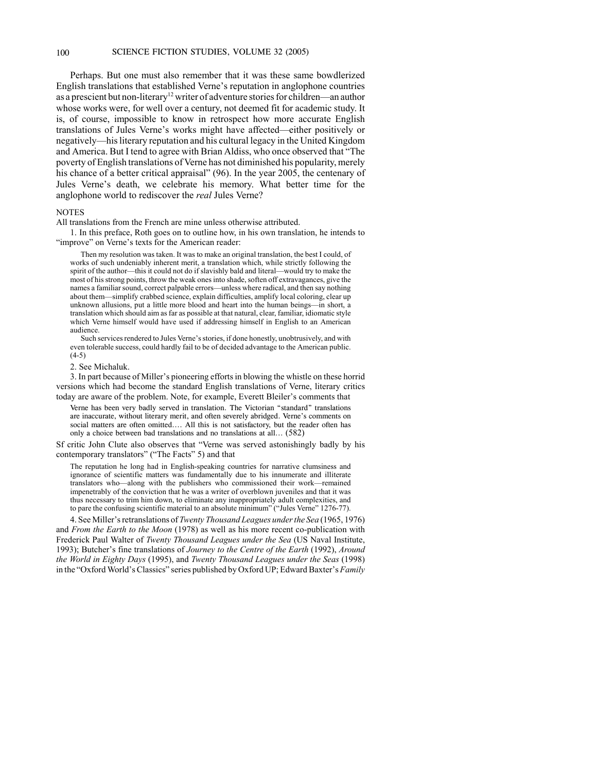Perhaps. But one must also remember that it was these same bowdlerized English translations that established Verne's reputation in anglophone countries as a prescient but non-literary<sup>12</sup> writer of adventure stories for children—an author whose works were, for well over a century, not deemed fit for academic study. It is, of course, impossible to know in retrospect how more accurate English translations of Jules Verne's works might have affected—either positively or negatively—his literary reputation and his cultural legacy in the United Kingdom and America. But I tend to agree with Brian Aldiss, who once observed that "The poverty of English translations of Verne has not diminished his popularity, merely his chance of a better critical appraisal" (96). In the year 2005, the centenary of Jules Verne's death, we celebrate his memory. What better time for the anglophone world to rediscover the real Jules Verne?

#### NOTES

All translations from the French are mine unless otherwise attributed.

1. In this preface, Roth goes on to outline how, in his own translation, he intends to "improve" on Verne's texts for the American reader:

Then my resolution was taken. It was to make an original translation, the best I could, of works of such undeniably inherent merit, a translation which, while strictly following the spirit of the author—this it could not do if slavishly bald and literal—would try to make the most of his strong points, throw the weak ones into shade, soften off extravagances, give the names a familiar sound, correct palpable errors—unless where radical, and then say nothing about them—simplify crabbed science, explain difficulties, amplify local coloring, clear up unknown allusions, put a little more blood and heart into the human beings—in short, a translation which should aim as far as possible at that natural, clear, familiar, idiomatic style which Verne himself would have used if addressing himself in English to an American audience.

Such services rendered to Jules Verne's stories, if done honestly, unobtrusively, and with even tolerable success, could hardly fail to be of decided advantage to the American public. (4-5)

2. See Michaluk.

3. In part because of Miller's pioneering efforts in blowing the whistle on these horrid versions which had become the standard English translations of Verne, literary critics today are aware of the problem. Note, for example, Everett Bleiler's comments that

Verne has been very badly served in translation. The Victorian "standard" translations are inaccurate, without literary merit, and often severely abridged. Verne's comments on social matters are often omitted.... All this is not satisfactory, but the reader often has only a choice between bad translations and no translations at all... (582)

Sf critic John Clute also observes that "Verne was served astonishingly badly by his contemporary translators" ("The Facts" 5) and that

The reputation he long had in English-speaking countries for narrative clumsiness and ignorance of scientific matters was fundamentally due to his innumerate and illiterate translators who—along with the publishers who commissioned their work—remained impenetrably of the conviction that he was a writer of overblown juveniles and that it was thus necessary to trim him down, to eliminate any inappropriately adult complexities, and to pare the confusing scientific material to an absolute minimum" ("Jules Verne" 1276-77).

4. See Miller's retranslations of Twenty Thousand Leagues under the Sea (1965, 1976) and From the Earth to the Moon (1978) as well as his more recent co-publication with Frederick Paul Walter of Twenty Thousand Leagues under the Sea (US Naval Institute, 1993); Butcher's fine translations of Journey to the Centre of the Earth (1992), Around the World in Eighty Days (1995), and Twenty Thousand Leagues under the Seas (1998) in the "Oxford World's Classics" series published by Oxford UP; Edward Baxter's Family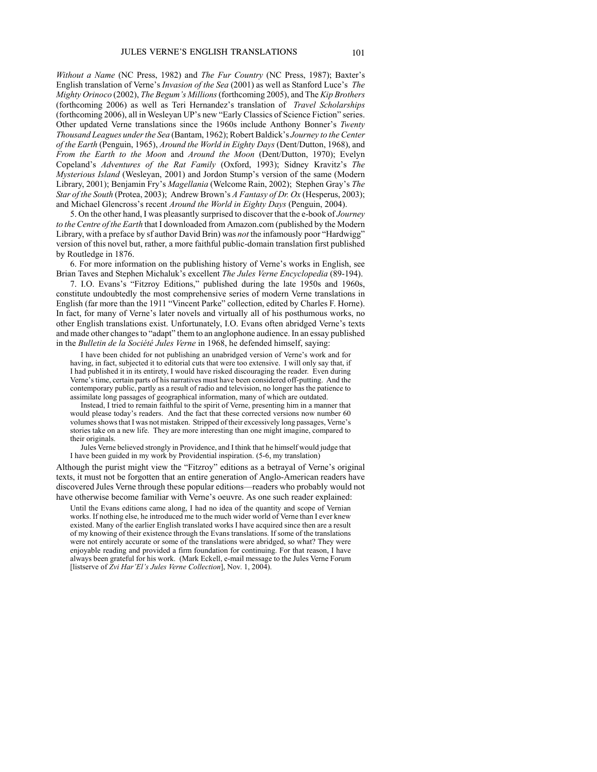Without a Name (NC Press, 1982) and The Fur Country (NC Press, 1987); Baxter's English translation of Verne's Invasion of the Sea (2001) as well as Stanford Luce's The Mighty Orinoco (2002), The Begum's Millions (forthcoming 2005), and The Kip Brothers (forthcoming 2006) as well as Teri Hernandez's translation of Travel Scholarships (forthcoming 2006), all in Wesleyan UP's new "Early Classics of Science Fiction" series. Other updated Verne translations since the 1960s include Anthony Bonner's Twenty Thousand Leagues under the Sea (Bantam, 1962); Robert Baldick's Journey to the Center of the Earth (Penguin, 1965), Around the World in Eighty Days (Dent/Dutton, 1968), and From the Earth to the Moon and Around the Moon (Dent/Dutton, 1970); Evelyn Copeland's Adventures of the Rat Family (Oxford, 1993); Sidney Kravitz's The Mysterious Island (Wesleyan, 2001) and Jordon Stump's version of the same (Modern Library, 2001); Benjamin Fry's Magellania (Welcome Rain, 2002); Stephen Gray's The Star of the South (Protea, 2003); Andrew Brown's A Fantasy of Dr. Ox (Hesperus, 2003); and Michael Glencross's recent Around the World in Eighty Days (Penguin, 2004).

5. On the other hand, I was pleasantly surprised to discover that the e-book of Journey to the Centre of the Earth that I downloaded from Amazon.com (published by the Modern Library, with a preface by sf author David Brin) was *not* the infamously poor "Hardwigg" version of this novel but, rather, a more faithful public-domain translation first published by Routledge in 1876.

6. For more information on the publishing history of Verne's works in English, see Brian Taves and Stephen Michaluk's excellent The Jules Verne Encyclopedia (89-194).

7. I.O. Evans's "Fitzroy Editions," published during the late 1950s and 1960s, constitute undoubtedly the most comprehensive series of modern Verne translations in English (far more than the 1911 "Vincent Parke" collection, edited by Charles F. Horne). In fact, for many of Verne's later novels and virtually all of his posthumous works, no other English translations exist. Unfortunately, I.O. Evans often abridged Verne's texts and made other changes to "adapt" them to an anglophone audience. In an essay published in the Bulletin de la Société Jules Verne in 1968, he defended himself, saying:

I have been chided for not publishing an unabridged version of Verne's work and for having, in fact, subjected it to editorial cuts that were too extensive. I will only say that, if I had published it in its entirety, I would have risked discouraging the reader. Even during Verne's time, certain parts of his narratives must have been considered off-putting. And the contemporary public, partly as a result of radio and television, no longer has the patience to assimilate long passages of geographical information, many of which are outdated.

Instead, I tried to remain faithful to the spirit of Verne, presenting him in a manner that would please today's readers. And the fact that these corrected versions now number 60 volumes shows that I was not mistaken. Stripped of their excessively long passages, Verne's stories take on a new life. They are more interesting than one might imagine, compared to their originals.

Jules Verne believed strongly in Providence, and I think that he himself would judge that I have been guided in my work by Providential inspiration. (5-6, my translation)

Although the purist might view the "Fitzroy" editions as a betrayal of Verne's original texts, it must not be forgotten that an entire generation of Anglo-American readers have discovered Jules Verne through these popular editions—readers who probably would not have otherwise become familiar with Verne's oeuvre. As one such reader explained:

Until the Evans editions came along, I had no idea of the quantity and scope of Vernian works. If nothing else, he introduced me to the much wider world of Verne than I ever knew existed. Many of the earlier English translated works I have acquired since then are a result of my knowing of their existence through the Evans translations. If some of the translations were not entirely accurate or some of the translations were abridged, so what? They were enjoyable reading and provided a firm foundation for continuing. For that reason, I have always been grateful for his work. (Mark Eckell, e-mail message to the Jules Verne Forum [listserve of Zvi Har'El's Jules Verne Collection], Nov. 1, 2004).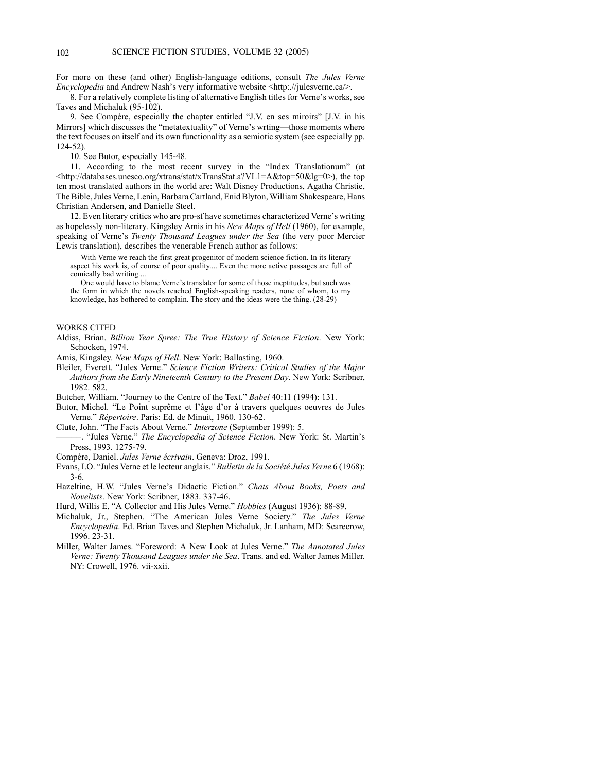For more on these (and other) English-language editions, consult The Jules Verne Encyclopedia and Andrew Nash's very informative website <http:.//julesverne.ca/>.

8. For a relatively complete listing of alternative English titles for Verne's works, see Taves and Michaluk (95-102).

9. See Compère, especially the chapter entitled "J.V. en ses miroirs" [J.V. in his Mirrors] which discusses the "metatextuality" of Verne's wrting—those moments where the text focuses on itself and its own functionality as a semiotic system (see especially pp. 124-52).

10. See Butor, especially 145-48.

11. According to the most recent survey in the "Index Translationum" (at <http://databases.unesco.org/xtrans/stat/xTransStat.a?VL1=A&top=50&lg=0>), the top ten most translated authors in the world are: Walt Disney Productions, Agatha Christie, The Bible, Jules Verne, Lenin, Barbara Cartland, Enid Blyton, William Shakespeare, Hans Christian Andersen, and Danielle Steel.

12. Even literary critics who are pro-sf have sometimes characterized Verne's writing as hopelessly non-literary. Kingsley Amis in his New Maps of Hell (1960), for example, speaking of Verne's Twenty Thousand Leagues under the Sea (the very poor Mercier Lewis translation), describes the venerable French author as follows:

With Verne we reach the first great progenitor of modern science fiction. In its literary aspect his work is, of course of poor quality.... Even the more active passages are full of comically bad writing....

One would have to blame Verne's translator for some of those ineptitudes, but such was the form in which the novels reached English-speaking readers, none of whom, to my knowledge, has bothered to complain. The story and the ideas were the thing. (28-29)

#### WORKS CITED

Aldiss, Brian. Billion Year Spree: The True History of Science Fiction. New York: Schocken, 1974.

Amis, Kingsley. New Maps of Hell. New York: Ballasting, 1960.

Bleiler, Everett. "Jules Verne." Science Fiction Writers: Critical Studies of the Major Authors from the Early Nineteenth Century to the Present Day. New York: Scribner, 1982. 582.

Butcher, William. "Journey to the Centre of the Text." Babel 40:11 (1994): 131.

Butor, Michel. "Le Point suprême et l'âge d'or à travers quelques oeuvres de Jules Verne." Répertoire. Paris: Ed. de Minuit, 1960. 130-62.

- Clute, John. "The Facts About Verne." Interzone (September 1999): 5.
- -. "Jules Verne." The Encyclopedia of Science Fiction. New York: St. Martin's Press, 1993. 1275-79.
- Compère, Daniel. Jules Verne écrivain. Geneva: Droz, 1991.
- Evans, I.O. "Jules Verne et le lecteur anglais." Bulletin de la Société Jules Verne 6 (1968): 3-6.
- Hazeltine, H.W. "Jules Verne's Didactic Fiction." Chats About Books, Poets and Novelists. New York: Scribner, 1883. 337-46.
- Hurd, Willis E. "A Collector and His Jules Verne." Hobbies (August 1936): 88-89.
- Michaluk, Jr., Stephen. "The American Jules Verne Society." The Jules Verne Encyclopedia. Ed. Brian Taves and Stephen Michaluk, Jr. Lanham, MD: Scarecrow, 1996. 23-31.
- Miller, Walter James. "Foreword: A New Look at Jules Verne." The Annotated Jules Verne: Twenty Thousand Leagues under the Sea. Trans. and ed. Walter James Miller. NY: Crowell, 1976. vii-xxii.